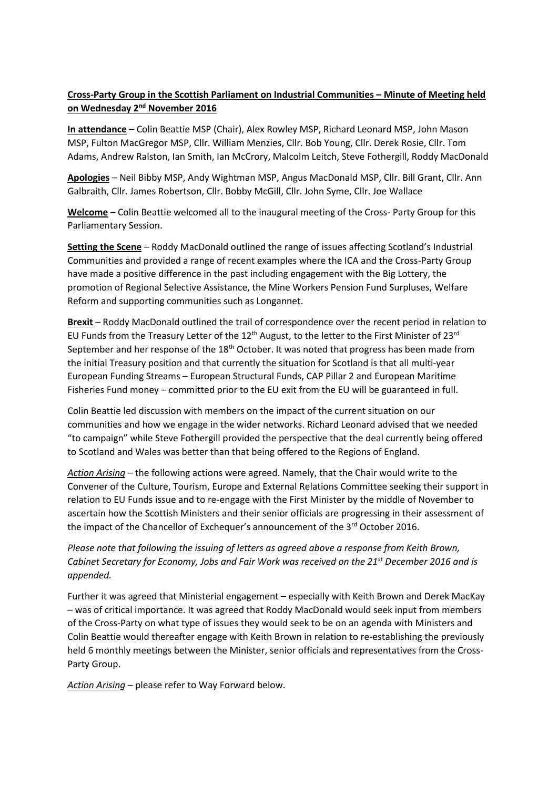## **Cross-Party Group in the Scottish Parliament on Industrial Communities – Minute of Meeting held on Wednesday 2nd November 2016**

**In attendance** – Colin Beattie MSP (Chair), Alex Rowley MSP, Richard Leonard MSP, John Mason MSP, Fulton MacGregor MSP, Cllr. William Menzies, Cllr. Bob Young, Cllr. Derek Rosie, Cllr. Tom Adams, Andrew Ralston, Ian Smith, Ian McCrory, Malcolm Leitch, Steve Fothergill, Roddy MacDonald

**Apologies** – Neil Bibby MSP, Andy Wightman MSP, Angus MacDonald MSP, Cllr. Bill Grant, Cllr. Ann Galbraith, Cllr. James Robertson, Cllr. Bobby McGill, Cllr. John Syme, Cllr. Joe Wallace

**Welcome** – Colin Beattie welcomed all to the inaugural meeting of the Cross- Party Group for this Parliamentary Session.

**Setting the Scene** – Roddy MacDonald outlined the range of issues affecting Scotland's Industrial Communities and provided a range of recent examples where the ICA and the Cross-Party Group have made a positive difference in the past including engagement with the Big Lottery, the promotion of Regional Selective Assistance, the Mine Workers Pension Fund Surpluses, Welfare Reform and supporting communities such as Longannet.

**Brexit** – Roddy MacDonald outlined the trail of correspondence over the recent period in relation to EU Funds from the Treasury Letter of the  $12<sup>th</sup>$  August, to the letter to the First Minister of 23<sup>rd</sup> September and her response of the  $18<sup>th</sup>$  October. It was noted that progress has been made from the initial Treasury position and that currently the situation for Scotland is that all multi-year European Funding Streams – European Structural Funds, CAP Pillar 2 and European Maritime Fisheries Fund money – committed prior to the EU exit from the EU will be guaranteed in full.

Colin Beattie led discussion with members on the impact of the current situation on our communities and how we engage in the wider networks. Richard Leonard advised that we needed "to campaign" while Steve Fothergill provided the perspective that the deal currently being offered to Scotland and Wales was better than that being offered to the Regions of England.

*Action Arising* – the following actions were agreed. Namely, that the Chair would write to the Convener of the Culture, Tourism, Europe and External Relations Committee seeking their support in relation to EU Funds issue and to re-engage with the First Minister by the middle of November to ascertain how the Scottish Ministers and their senior officials are progressing in their assessment of the impact of the Chancellor of Exchequer's announcement of the 3<sup>rd</sup> October 2016.

*Please note that following the issuing of letters as agreed above a response from Keith Brown, Cabinet Secretary for Economy, Jobs and Fair Work was received on the 21st December 2016 and is appended.*

Further it was agreed that Ministerial engagement – especially with Keith Brown and Derek MacKay – was of critical importance. It was agreed that Roddy MacDonald would seek input from members of the Cross-Party on what type of issues they would seek to be on an agenda with Ministers and Colin Beattie would thereafter engage with Keith Brown in relation to re-establishing the previously held 6 monthly meetings between the Minister, senior officials and representatives from the Cross-Party Group.

*Action Arising* – please refer to Way Forward below.